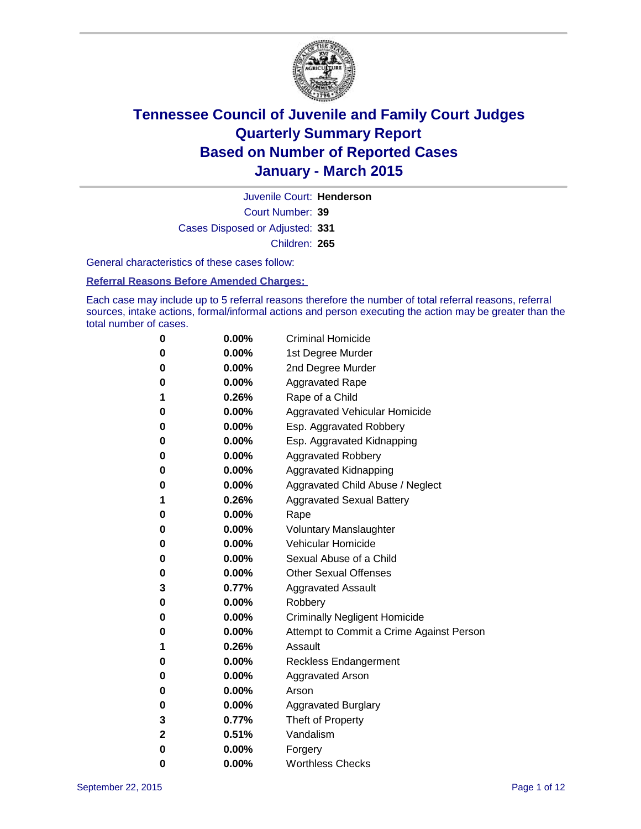

Court Number: **39** Juvenile Court: **Henderson** Cases Disposed or Adjusted: **331** Children: **265**

General characteristics of these cases follow:

#### **Referral Reasons Before Amended Charges:**

Each case may include up to 5 referral reasons therefore the number of total referral reasons, referral sources, intake actions, formal/informal actions and person executing the action may be greater than the total number of cases.

| 0            | 0.00%    | <b>Criminal Homicide</b>                 |
|--------------|----------|------------------------------------------|
| 0            | $0.00\%$ | 1st Degree Murder                        |
| 0            | $0.00\%$ | 2nd Degree Murder                        |
| 0            | $0.00\%$ | <b>Aggravated Rape</b>                   |
| 1            | 0.26%    | Rape of a Child                          |
| 0            | $0.00\%$ | <b>Aggravated Vehicular Homicide</b>     |
| 0            | $0.00\%$ | Esp. Aggravated Robbery                  |
| 0            | $0.00\%$ | Esp. Aggravated Kidnapping               |
| 0            | $0.00\%$ | <b>Aggravated Robbery</b>                |
| 0            | $0.00\%$ | Aggravated Kidnapping                    |
| 0            | $0.00\%$ | Aggravated Child Abuse / Neglect         |
| 1            | 0.26%    | <b>Aggravated Sexual Battery</b>         |
| $\bf{0}$     | $0.00\%$ | Rape                                     |
| 0            | $0.00\%$ | <b>Voluntary Manslaughter</b>            |
| 0            | $0.00\%$ | <b>Vehicular Homicide</b>                |
| 0            | $0.00\%$ | Sexual Abuse of a Child                  |
| $\bf{0}$     | $0.00\%$ | <b>Other Sexual Offenses</b>             |
| 3            | $0.77\%$ | <b>Aggravated Assault</b>                |
| 0            | $0.00\%$ | Robbery                                  |
| 0            | $0.00\%$ | <b>Criminally Negligent Homicide</b>     |
| 0            | $0.00\%$ | Attempt to Commit a Crime Against Person |
| 1            | 0.26%    | Assault                                  |
| 0            | $0.00\%$ | <b>Reckless Endangerment</b>             |
| 0            | $0.00\%$ | <b>Aggravated Arson</b>                  |
| 0            | $0.00\%$ | Arson                                    |
| $\bf{0}$     | 0.00%    | <b>Aggravated Burglary</b>               |
| 3            | 0.77%    | Theft of Property                        |
| $\mathbf{2}$ | 0.51%    | Vandalism                                |
| $\bf{0}$     | 0.00%    | Forgery                                  |
| 0            | 0.00%    | <b>Worthless Checks</b>                  |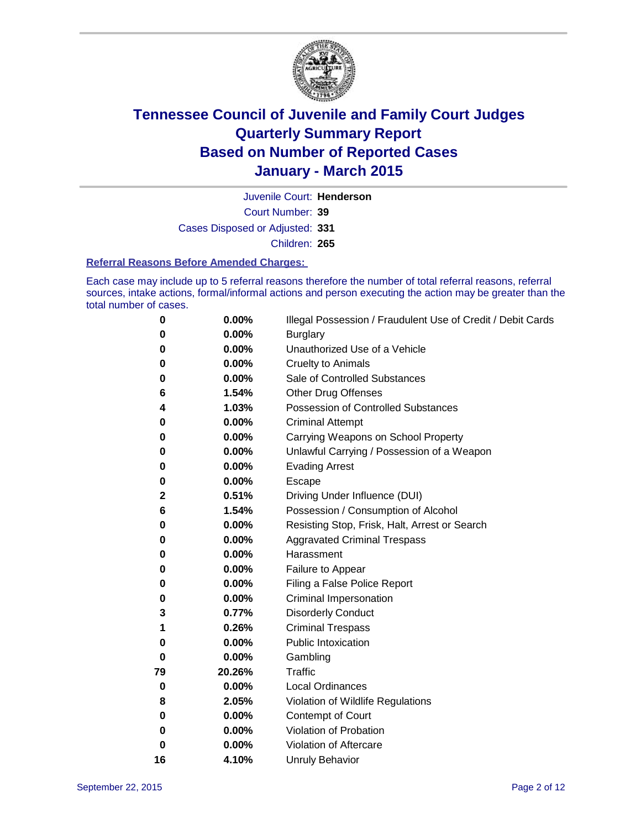

Court Number: **39** Juvenile Court: **Henderson** Cases Disposed or Adjusted: **331** Children: **265**

#### **Referral Reasons Before Amended Charges:**

Each case may include up to 5 referral reasons therefore the number of total referral reasons, referral sources, intake actions, formal/informal actions and person executing the action may be greater than the total number of cases.

| 0        | 0.00%  | Illegal Possession / Fraudulent Use of Credit / Debit Cards |
|----------|--------|-------------------------------------------------------------|
| 0        | 0.00%  | <b>Burglary</b>                                             |
| 0        | 0.00%  | Unauthorized Use of a Vehicle                               |
| 0        | 0.00%  | <b>Cruelty to Animals</b>                                   |
| 0        | 0.00%  | Sale of Controlled Substances                               |
| 6        | 1.54%  | <b>Other Drug Offenses</b>                                  |
| 4        | 1.03%  | <b>Possession of Controlled Substances</b>                  |
| 0        | 0.00%  | <b>Criminal Attempt</b>                                     |
| 0        | 0.00%  | Carrying Weapons on School Property                         |
| 0        | 0.00%  | Unlawful Carrying / Possession of a Weapon                  |
| 0        | 0.00%  | <b>Evading Arrest</b>                                       |
| 0        | 0.00%  | Escape                                                      |
| 2        | 0.51%  | Driving Under Influence (DUI)                               |
| 6        | 1.54%  | Possession / Consumption of Alcohol                         |
| 0        | 0.00%  | Resisting Stop, Frisk, Halt, Arrest or Search               |
| 0        | 0.00%  | <b>Aggravated Criminal Trespass</b>                         |
| 0        | 0.00%  | Harassment                                                  |
| 0        | 0.00%  | Failure to Appear                                           |
| 0        | 0.00%  | Filing a False Police Report                                |
| 0        | 0.00%  | Criminal Impersonation                                      |
| 3        | 0.77%  | <b>Disorderly Conduct</b>                                   |
| 1        | 0.26%  | <b>Criminal Trespass</b>                                    |
| 0        | 0.00%  | <b>Public Intoxication</b>                                  |
| $\bf{0}$ | 0.00%  | Gambling                                                    |
| 79       | 20.26% | <b>Traffic</b>                                              |
| 0        | 0.00%  | <b>Local Ordinances</b>                                     |
| 8        | 2.05%  | Violation of Wildlife Regulations                           |
| 0        | 0.00%  | Contempt of Court                                           |
| 0        | 0.00%  | Violation of Probation                                      |
| 0        | 0.00%  | Violation of Aftercare                                      |
| 16       | 4.10%  | <b>Unruly Behavior</b>                                      |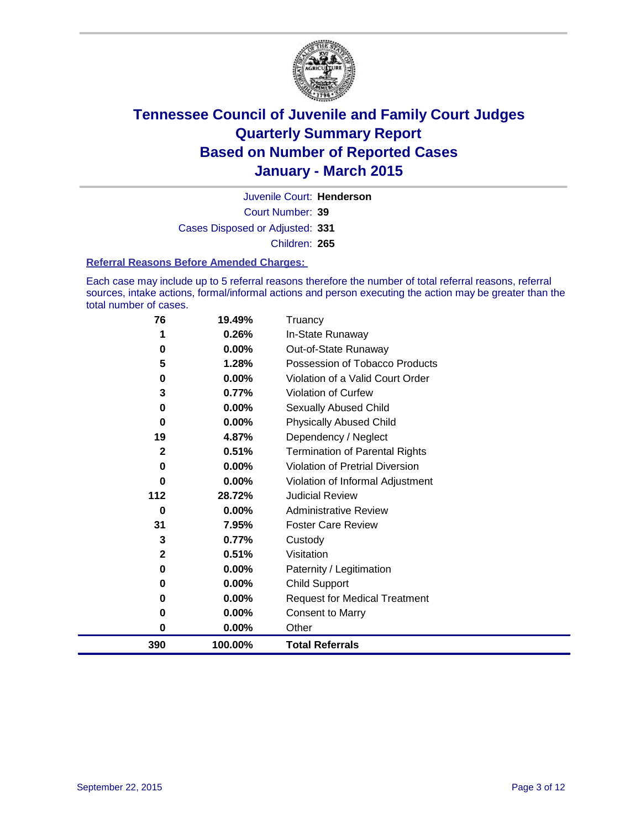

Court Number: **39** Juvenile Court: **Henderson** Cases Disposed or Adjusted: **331** Children: **265**

#### **Referral Reasons Before Amended Charges:**

Each case may include up to 5 referral reasons therefore the number of total referral reasons, referral sources, intake actions, formal/informal actions and person executing the action may be greater than the total number of cases.

| 76           | 19.49%   | Truancy                                |
|--------------|----------|----------------------------------------|
|              | 0.26%    | In-State Runaway                       |
| 0            | 0.00%    | Out-of-State Runaway                   |
| 5            | 1.28%    | Possession of Tobacco Products         |
| 0            | $0.00\%$ | Violation of a Valid Court Order       |
| 3            | 0.77%    | Violation of Curfew                    |
| 0            | $0.00\%$ | Sexually Abused Child                  |
| 0            | 0.00%    | <b>Physically Abused Child</b>         |
| 19           | 4.87%    | Dependency / Neglect                   |
| $\mathbf{2}$ | 0.51%    | <b>Termination of Parental Rights</b>  |
| 0            | 0.00%    | <b>Violation of Pretrial Diversion</b> |
| 0            | $0.00\%$ | Violation of Informal Adjustment       |
| 112          | 28.72%   | <b>Judicial Review</b>                 |
| 0            | $0.00\%$ | <b>Administrative Review</b>           |
| 31           | 7.95%    | <b>Foster Care Review</b>              |
| 3            | 0.77%    | Custody                                |
| $\mathbf{2}$ | 0.51%    | Visitation                             |
| 0            | 0.00%    | Paternity / Legitimation               |
| 0            | 0.00%    | Child Support                          |
| 0            | 0.00%    | <b>Request for Medical Treatment</b>   |
| 0            | 0.00%    | <b>Consent to Marry</b>                |
| 0            | 0.00%    | Other                                  |
| 390          | 100.00%  | <b>Total Referrals</b>                 |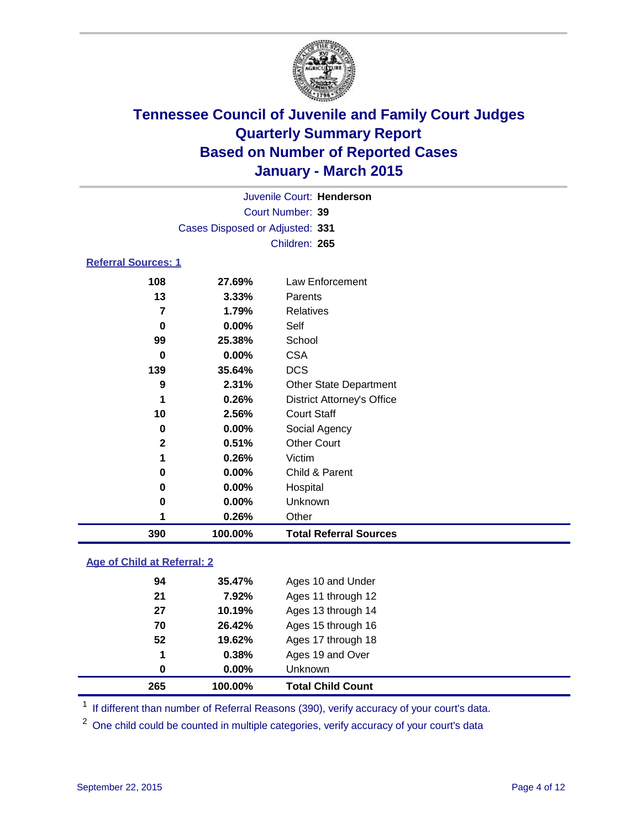

| Juvenile Court: Henderson       |  |
|---------------------------------|--|
| Court Number: 39                |  |
| Cases Disposed or Adjusted: 331 |  |
| Children: 265                   |  |
|                                 |  |

### **Referral Sources: 1**

| 390 | 100.00%               | <b>Total Referral Sources</b>     |
|-----|-----------------------|-----------------------------------|
|     | 0.26%                 | Other                             |
|     | $0.00\%$<br>0         | Unknown                           |
|     | $0.00\%$<br>0         | Hospital                          |
|     | $0.00\%$<br>0         | Child & Parent                    |
|     | 0.26%                 | Victim                            |
|     | $\mathbf{2}$<br>0.51% | <b>Other Court</b>                |
|     | $0.00\%$<br>0         | Social Agency                     |
|     | 10<br>2.56%           | <b>Court Staff</b>                |
|     | 0.26%<br>1            | <b>District Attorney's Office</b> |
|     | 9<br>2.31%            | <b>Other State Department</b>     |
|     | 139<br>35.64%         | <b>DCS</b>                        |
|     | $0.00\%$<br>0         | <b>CSA</b>                        |
|     | 99<br>25.38%          | School                            |
|     | $0.00\%$<br>0         | Self                              |
|     | 1.79%<br>7            | Relatives                         |
|     | 13<br>3.33%           | Parents                           |
|     | 108<br>27.69%         | Law Enforcement                   |

### **Age of Child at Referral: 2**

| 265 | 100.00%  | <b>Total Child Count</b> |
|-----|----------|--------------------------|
| 0   | $0.00\%$ | Unknown                  |
| 1   | 0.38%    | Ages 19 and Over         |
| 52  | 19.62%   | Ages 17 through 18       |
| 70  | 26.42%   | Ages 15 through 16       |
| 27  | 10.19%   | Ages 13 through 14       |
| 21  | 7.92%    | Ages 11 through 12       |
| 94  | 35.47%   | Ages 10 and Under        |

<sup>1</sup> If different than number of Referral Reasons (390), verify accuracy of your court's data.

One child could be counted in multiple categories, verify accuracy of your court's data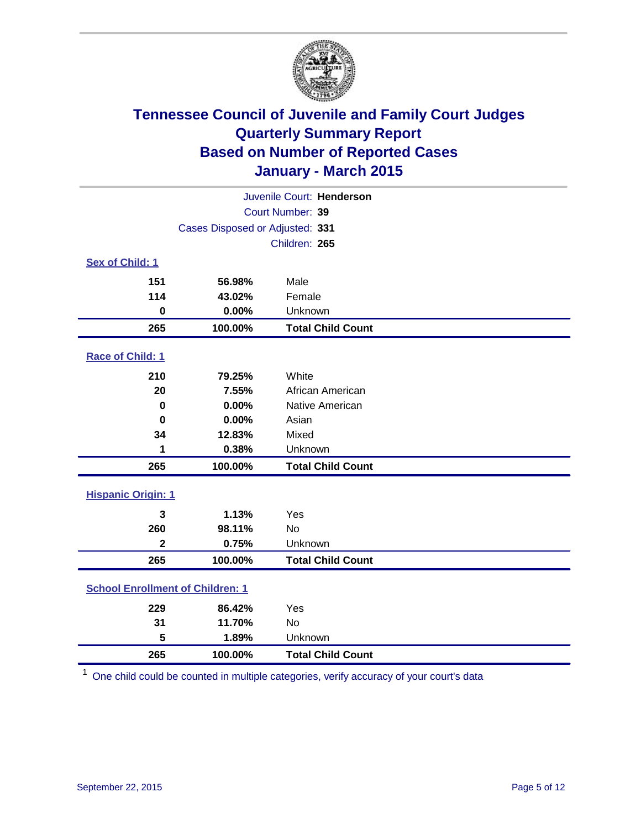

|                                            | Juvenile Court: Henderson           |                          |  |  |  |  |
|--------------------------------------------|-------------------------------------|--------------------------|--|--|--|--|
|                                            | Court Number: 39                    |                          |  |  |  |  |
|                                            | Cases Disposed or Adjusted: 331     |                          |  |  |  |  |
|                                            |                                     | Children: 265            |  |  |  |  |
| Sex of Child: 1                            |                                     |                          |  |  |  |  |
| 151                                        | 56.98%                              | Male                     |  |  |  |  |
| 114                                        | 43.02%                              | Female                   |  |  |  |  |
| $\mathbf 0$                                | 0.00%                               | Unknown                  |  |  |  |  |
| 265                                        | 100.00%                             | <b>Total Child Count</b> |  |  |  |  |
| Race of Child: 1                           |                                     |                          |  |  |  |  |
| 210                                        | 79.25%                              | White                    |  |  |  |  |
| 20                                         | 7.55%<br>African American           |                          |  |  |  |  |
| $\bf{0}$                                   | 0.00%                               | Native American          |  |  |  |  |
| $\bf{0}$                                   | 0.00%                               | Asian                    |  |  |  |  |
| 34                                         | 12.83%                              | Mixed                    |  |  |  |  |
| 1                                          | 0.38%                               | Unknown                  |  |  |  |  |
| 265                                        | 100.00%                             | <b>Total Child Count</b> |  |  |  |  |
| <b>Hispanic Origin: 1</b>                  |                                     |                          |  |  |  |  |
| 3                                          | 1.13%                               | Yes                      |  |  |  |  |
| 260                                        | 98.11%                              | <b>No</b>                |  |  |  |  |
| $\overline{\mathbf{2}}$                    | 0.75%                               | Unknown                  |  |  |  |  |
| 265                                        | <b>Total Child Count</b><br>100.00% |                          |  |  |  |  |
| <b>School Enrollment of Children: 1</b>    |                                     |                          |  |  |  |  |
| 229                                        | 86.42%                              | Yes                      |  |  |  |  |
| 31                                         | 11.70%                              | No                       |  |  |  |  |
| 5                                          | 1.89%                               | Unknown                  |  |  |  |  |
| 265<br><b>Total Child Count</b><br>100.00% |                                     |                          |  |  |  |  |

One child could be counted in multiple categories, verify accuracy of your court's data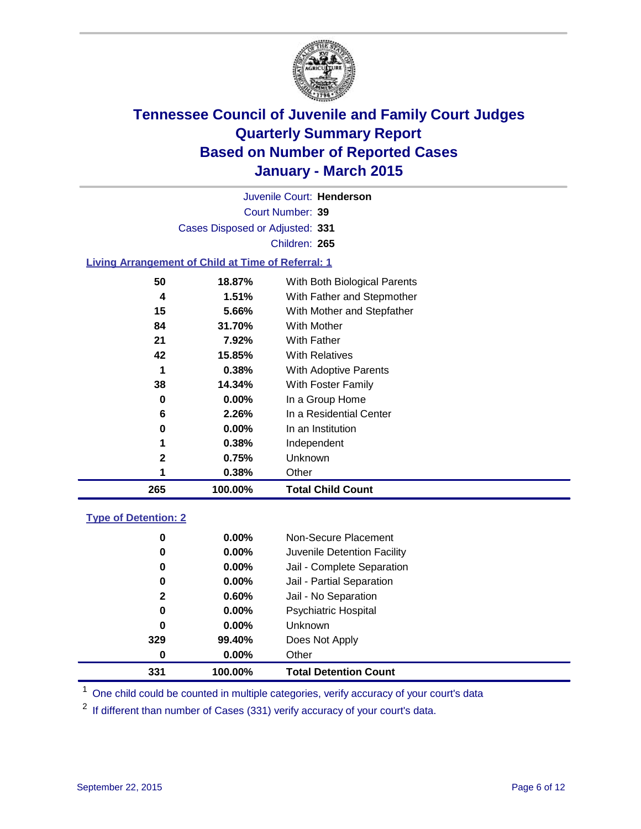

Court Number: **39** Juvenile Court: **Henderson** Cases Disposed or Adjusted: **331** Children: **265**

### **Living Arrangement of Child at Time of Referral: 1**

| 265 | 100.00%  | <b>Total Child Count</b>     |  |
|-----|----------|------------------------------|--|
| 1   | 0.38%    | Other                        |  |
| 2   | 0.75%    | Unknown                      |  |
| 1   | 0.38%    | Independent                  |  |
| 0   | $0.00\%$ | In an Institution            |  |
| 6   | 2.26%    | In a Residential Center      |  |
| 0   | 0.00%    | In a Group Home              |  |
| 38  | 14.34%   | With Foster Family           |  |
| 1   | 0.38%    | <b>With Adoptive Parents</b> |  |
| 42  | 15.85%   | <b>With Relatives</b>        |  |
| 21  | 7.92%    | With Father                  |  |
| 84  | 31.70%   | With Mother                  |  |
| 15  | 5.66%    | With Mother and Stepfather   |  |
| 4   | 1.51%    | With Father and Stepmother   |  |
| 50  | 18.87%   | With Both Biological Parents |  |
|     |          |                              |  |

### **Type of Detention: 2**

| $0.00\%$<br>$0.00\%$<br>$0.00\%$<br>0.00%<br>0.60%<br>$0.00\%$<br>$0.00\%$<br>99.40%<br>$0.00\%$ | Non-Secure Placement<br>Juvenile Detention Facility<br>Jail - Complete Separation<br>Jail - Partial Separation<br>Jail - No Separation<br><b>Psychiatric Hospital</b><br><b>Unknown</b><br>Does Not Apply<br>Other |  |
|--------------------------------------------------------------------------------------------------|--------------------------------------------------------------------------------------------------------------------------------------------------------------------------------------------------------------------|--|
| 100.00%                                                                                          | <b>Total Detention Count</b>                                                                                                                                                                                       |  |
|                                                                                                  |                                                                                                                                                                                                                    |  |

<sup>1</sup> One child could be counted in multiple categories, verify accuracy of your court's data

If different than number of Cases (331) verify accuracy of your court's data.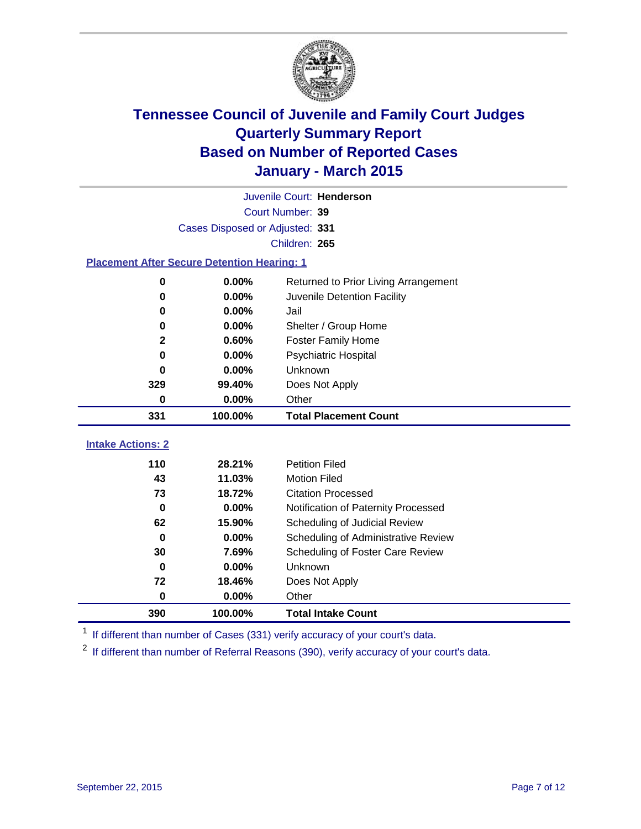

|                          | Juvenile Court: Henderson                          |                                      |  |  |  |  |  |
|--------------------------|----------------------------------------------------|--------------------------------------|--|--|--|--|--|
|                          | Court Number: 39                                   |                                      |  |  |  |  |  |
|                          | Cases Disposed or Adjusted: 331                    |                                      |  |  |  |  |  |
|                          | Children: 265                                      |                                      |  |  |  |  |  |
|                          | <b>Placement After Secure Detention Hearing: 1</b> |                                      |  |  |  |  |  |
| $\mathbf 0$              | 0.00%                                              | Returned to Prior Living Arrangement |  |  |  |  |  |
| $\bf{0}$                 | 0.00%                                              | Juvenile Detention Facility          |  |  |  |  |  |
| 0                        | 0.00%                                              | Jail                                 |  |  |  |  |  |
| 0                        | 0.00%                                              | Shelter / Group Home                 |  |  |  |  |  |
| $\boldsymbol{2}$         | 0.60%                                              | <b>Foster Family Home</b>            |  |  |  |  |  |
| $\bf{0}$                 | 0.00%                                              | <b>Psychiatric Hospital</b>          |  |  |  |  |  |
| 0                        | 0.00%                                              | Unknown                              |  |  |  |  |  |
| 329                      | 99.40%                                             | Does Not Apply                       |  |  |  |  |  |
| 0                        | 0.00%<br>Other                                     |                                      |  |  |  |  |  |
| 331                      | 100.00%                                            | <b>Total Placement Count</b>         |  |  |  |  |  |
| <b>Intake Actions: 2</b> |                                                    |                                      |  |  |  |  |  |
|                          |                                                    |                                      |  |  |  |  |  |
| 110                      | 28.21%                                             | <b>Petition Filed</b>                |  |  |  |  |  |
| 43                       | 11.03%                                             | <b>Motion Filed</b>                  |  |  |  |  |  |
| 73                       | 18.72%                                             | <b>Citation Processed</b>            |  |  |  |  |  |
| $\bf{0}$                 | 0.00%                                              | Notification of Paternity Processed  |  |  |  |  |  |
| 62                       | 15.90%                                             | Scheduling of Judicial Review        |  |  |  |  |  |
| $\bf{0}$                 | 0.00%                                              | Scheduling of Administrative Review  |  |  |  |  |  |
| 30                       | 7.69%                                              | Scheduling of Foster Care Review     |  |  |  |  |  |
| $\bf{0}$                 | 0.00%                                              | Unknown                              |  |  |  |  |  |
| 72                       | 18.46%                                             | Does Not Apply                       |  |  |  |  |  |
| 0                        | 0.00%                                              | Other                                |  |  |  |  |  |
| 390                      | 100.00%                                            | <b>Total Intake Count</b>            |  |  |  |  |  |

<sup>1</sup> If different than number of Cases (331) verify accuracy of your court's data.

<sup>2</sup> If different than number of Referral Reasons (390), verify accuracy of your court's data.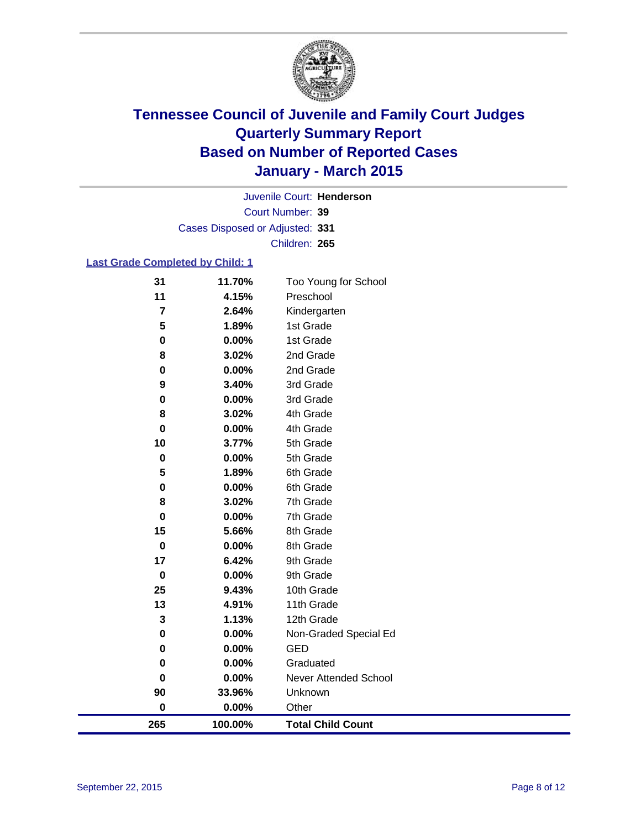

Court Number: **39** Juvenile Court: **Henderson** Cases Disposed or Adjusted: **331** Children: **265**

### **Last Grade Completed by Child: 1**

| 265            | 100.00%        | <b>Total Child Count</b>     |
|----------------|----------------|------------------------------|
| 0              | 0.00%          | Other                        |
| 90             | 33.96%         | Unknown                      |
| 0              | 0.00%          | <b>Never Attended School</b> |
| 0              | 0.00%          | Graduated                    |
| 0              | 0.00%          | <b>GED</b>                   |
| 0              | 0.00%          | Non-Graded Special Ed        |
| 3              | 1.13%          | 12th Grade                   |
| 13             | 4.91%          | 11th Grade                   |
| 25             | 9.43%          | 10th Grade                   |
| $\mathbf 0$    | 0.00%          | 9th Grade                    |
| 17             | 6.42%          | 9th Grade                    |
| $\mathbf 0$    | 0.00%          | 8th Grade                    |
| 15             | 5.66%          | 8th Grade                    |
| $\bf{0}$       | 0.00%          | 7th Grade                    |
| 8              | 3.02%          | 7th Grade                    |
| $\pmb{0}$      | 0.00%          | 6th Grade                    |
| 5              | 1.89%          | 6th Grade                    |
| $\bf{0}$       | 3.77%<br>0.00% | 5th Grade                    |
| 0<br>10        | 0.00%          | 5th Grade                    |
| 8              | 3.02%          | 4th Grade<br>4th Grade       |
| 0              | 0.00%          | 3rd Grade                    |
| 9              | 3.40%          | 3rd Grade                    |
| 0              | 0.00%          | 2nd Grade                    |
| 8              | 3.02%          | 2nd Grade                    |
| $\pmb{0}$      | 0.00%          | 1st Grade                    |
| 5              | 1.89%          | 1st Grade                    |
| $\overline{7}$ | 2.64%          | Kindergarten                 |
| 11             | 4.15%          | Preschool                    |
| 31             | 11.70%         | Too Young for School         |
|                |                |                              |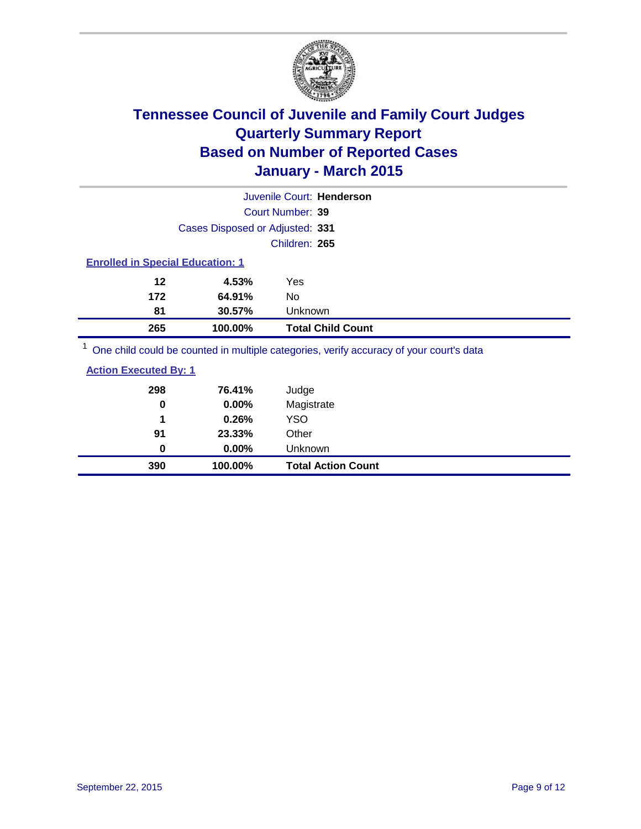

| Juvenile Court: Henderson                                                               |                                         |                          |  |  |  |  |
|-----------------------------------------------------------------------------------------|-----------------------------------------|--------------------------|--|--|--|--|
|                                                                                         | Court Number: 39                        |                          |  |  |  |  |
|                                                                                         | Cases Disposed or Adjusted: 331         |                          |  |  |  |  |
|                                                                                         |                                         | Children: 265            |  |  |  |  |
|                                                                                         | <b>Enrolled in Special Education: 1</b> |                          |  |  |  |  |
| 12                                                                                      | 4.53%                                   | Yes                      |  |  |  |  |
| 172                                                                                     | 64.91%                                  | No                       |  |  |  |  |
| 81                                                                                      | 30.57%                                  | Unknown                  |  |  |  |  |
| 265                                                                                     | 100.00%                                 | <b>Total Child Count</b> |  |  |  |  |
| One child could be counted in multiple categories, verify accuracy of your court's data |                                         |                          |  |  |  |  |

 $\operatorname{child}$  could be counted in multiple categories, verify accuracy of your court's

| 390                          | 100.00% | <b>Total Action Count</b> |
|------------------------------|---------|---------------------------|
| 0                            | 0.00%   | Unknown                   |
| 91                           | 23.33%  | Other                     |
| 1                            | 0.26%   | <b>YSO</b>                |
| 0                            | 0.00%   | Magistrate                |
| 298                          | 76.41%  | Judge                     |
| <b>Action Executed By: 1</b> |         |                           |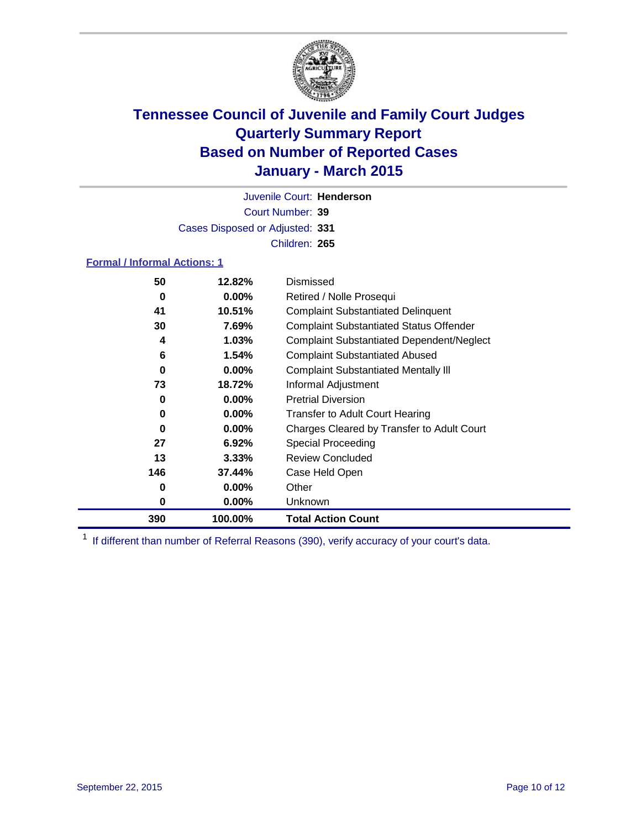

Court Number: **39** Juvenile Court: **Henderson** Cases Disposed or Adjusted: **331** Children: **265**

### **Formal / Informal Actions: 1**

| 50  | 12.82%   | Dismissed                                        |
|-----|----------|--------------------------------------------------|
| 0   | $0.00\%$ | Retired / Nolle Prosequi                         |
| 41  | 10.51%   | <b>Complaint Substantiated Delinquent</b>        |
| 30  | 7.69%    | <b>Complaint Substantiated Status Offender</b>   |
| 4   | 1.03%    | <b>Complaint Substantiated Dependent/Neglect</b> |
| 6   | 1.54%    | <b>Complaint Substantiated Abused</b>            |
| 0   | $0.00\%$ | <b>Complaint Substantiated Mentally III</b>      |
| 73  | 18.72%   | Informal Adjustment                              |
| 0   | $0.00\%$ | <b>Pretrial Diversion</b>                        |
| 0   | $0.00\%$ | <b>Transfer to Adult Court Hearing</b>           |
| 0   | $0.00\%$ | Charges Cleared by Transfer to Adult Court       |
| 27  | 6.92%    | Special Proceeding                               |
| 13  | $3.33\%$ | <b>Review Concluded</b>                          |
| 146 | 37.44%   | Case Held Open                                   |
| 0   | $0.00\%$ | Other                                            |
| 0   | $0.00\%$ | <b>Unknown</b>                                   |
| 390 | 100.00%  | <b>Total Action Count</b>                        |

<sup>1</sup> If different than number of Referral Reasons (390), verify accuracy of your court's data.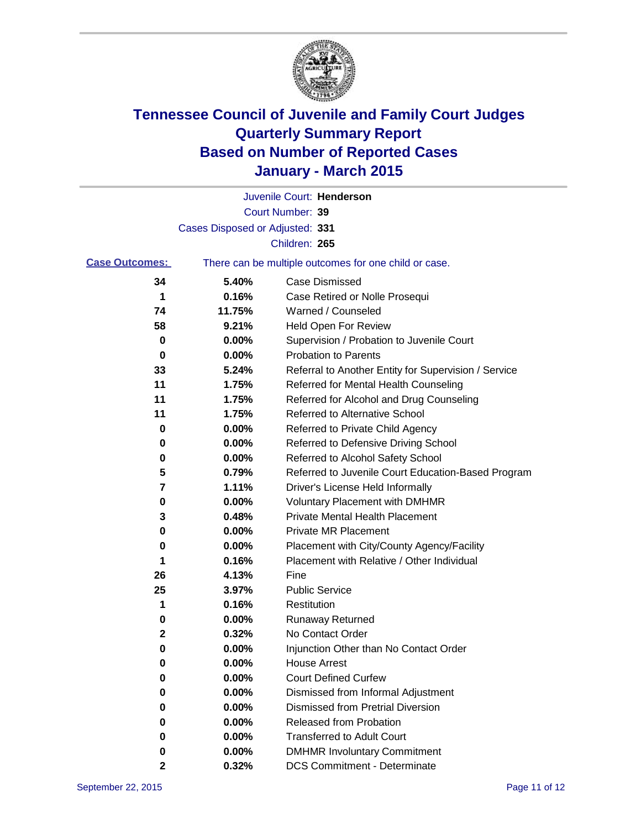

|                       |                                 | Juvenile Court: Henderson                             |
|-----------------------|---------------------------------|-------------------------------------------------------|
|                       |                                 | Court Number: 39                                      |
|                       | Cases Disposed or Adjusted: 331 |                                                       |
|                       |                                 | Children: 265                                         |
| <b>Case Outcomes:</b> |                                 | There can be multiple outcomes for one child or case. |
| 34                    | 5.40%                           | <b>Case Dismissed</b>                                 |
| 1                     | 0.16%                           | Case Retired or Nolle Prosequi                        |
| 74                    | 11.75%                          | Warned / Counseled                                    |
| 58                    | 9.21%                           | Held Open For Review                                  |
| 0                     | 0.00%                           | Supervision / Probation to Juvenile Court             |
| 0                     | 0.00%                           | <b>Probation to Parents</b>                           |
| 33                    | 5.24%                           | Referral to Another Entity for Supervision / Service  |
| 11                    | 1.75%                           | Referred for Mental Health Counseling                 |
| 11                    | 1.75%                           | Referred for Alcohol and Drug Counseling              |
| 11                    | 1.75%                           | <b>Referred to Alternative School</b>                 |
| 0                     | 0.00%                           | Referred to Private Child Agency                      |
| 0                     | 0.00%                           | Referred to Defensive Driving School                  |
| 0                     | 0.00%                           | Referred to Alcohol Safety School                     |
| 5                     | 0.79%                           | Referred to Juvenile Court Education-Based Program    |
| 7                     | 1.11%                           | Driver's License Held Informally                      |
| 0                     | 0.00%                           | <b>Voluntary Placement with DMHMR</b>                 |
| 3                     | 0.48%                           | <b>Private Mental Health Placement</b>                |
| 0                     | 0.00%                           | <b>Private MR Placement</b>                           |
| 0                     | 0.00%                           | Placement with City/County Agency/Facility            |
| 1                     | 0.16%                           | Placement with Relative / Other Individual            |
| 26                    | 4.13%                           | Fine                                                  |
| 25                    | 3.97%                           | <b>Public Service</b>                                 |
| 1                     | 0.16%                           | Restitution                                           |
| 0                     | 0.00%                           | <b>Runaway Returned</b>                               |
| 2                     | 0.32%                           | No Contact Order                                      |
| 0                     | 0.00%                           | Injunction Other than No Contact Order                |
| o                     | 0.00%                           | <b>House Arrest</b>                                   |
| 0                     | 0.00%                           | <b>Court Defined Curfew</b>                           |
| 0                     | 0.00%                           | Dismissed from Informal Adjustment                    |
| 0                     | 0.00%                           | <b>Dismissed from Pretrial Diversion</b>              |
| 0                     | 0.00%                           | Released from Probation                               |
| 0                     | 0.00%                           | <b>Transferred to Adult Court</b>                     |
| 0                     | 0.00%                           | <b>DMHMR Involuntary Commitment</b>                   |
| 2                     | 0.32%                           | <b>DCS Commitment - Determinate</b>                   |